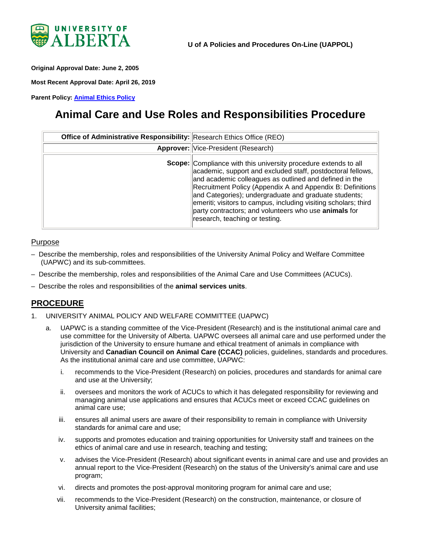

<span id="page-0-0"></span>**Original Approval Date: June 2, 2005**

**Most Recent Approval Date: April 26, 2019**

**Parent Policy: [Animal Ethics Policy](https://policiesonline.ualberta.ca/policiesprocedures/policies/animal-ethics-policy.pdf)**

# **Animal Care and Use Roles and Responsibilities Procedure**

| Office of Administrative Responsibility: Research Ethics Office (REO) |                                                                                                                                                                                                                                                                                                                                                                                                                                                                                      |
|-----------------------------------------------------------------------|--------------------------------------------------------------------------------------------------------------------------------------------------------------------------------------------------------------------------------------------------------------------------------------------------------------------------------------------------------------------------------------------------------------------------------------------------------------------------------------|
|                                                                       | <b>Approver:</b> Vice-President (Research)                                                                                                                                                                                                                                                                                                                                                                                                                                           |
|                                                                       | <b>Scope:</b> Compliance with this university procedure extends to all<br>academic, support and excluded staff, postdoctoral fellows,<br>and academic colleagues as outlined and defined in the<br>Recruitment Policy (Appendix A and Appendix B: Definitions<br>and Categories); undergraduate and graduate students;<br>emeriti; visitors to campus, including visiting scholars; third<br>party contractors; and volunteers who use animals for<br>research, teaching or testing. |

#### Purpose

- Describe the membership, roles and responsibilities of the University Animal Policy and Welfare Committee (UAPWC) and its sub-committees.
- Describe the membership, roles and responsibilities of the Animal Care and Use Committees (ACUCs).
- Describe the roles and responsibilities of the **animal services units**.

## **PROCEDURE**

- 1. UNIVERSITY ANIMAL POLICY AND WELFARE COMMITTEE (UAPWC)
	- UAPWC is a standing committee of the Vice-President (Research) and is the institutional animal care and use committee for the University of Alberta. UAPWC oversees all animal care and use performed under the jurisdiction of the University to ensure humane and ethical treatment of animals in compliance with University and **Canadian Council on Animal Care (CCAC)** policies, guidelines, standards and procedures. As the institutional animal care and use committee, UAPWC:
		- i. recommends to the Vice-President (Research) on policies, procedures and standards for animal care and use at the University;
		- ii. oversees and monitors the work of ACUCs to which it has delegated responsibility for reviewing and managing animal use applications and ensures that ACUCs meet or exceed CCAC guidelines on animal care use;
		- iii. ensures all animal users are aware of their responsibility to remain in compliance with University standards for animal care and use;
		- iv. supports and promotes education and training opportunities for University staff and trainees on the ethics of animal care and use in research, teaching and testing;
		- v. advises the Vice-President (Research) about significant events in animal care and use and provides an annual report to the Vice-President (Research) on the status of the University's animal care and use program;
		- vi. directs and promotes the post-approval monitoring program for animal care and use;
		- vii. recommends to the Vice-President (Research) on the construction, maintenance, or closure of University animal facilities;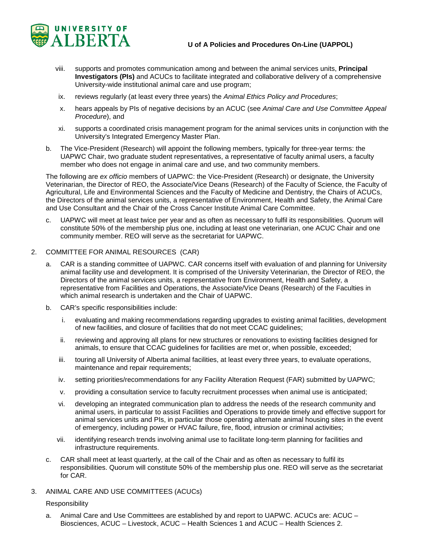

- viii. supports and promotes communication among and between the animal services units, **Principal Investigators (PIs)** and ACUCs to facilitate integrated and collaborative delivery of a comprehensive University-wide institutional animal care and use program;
- ix. reviews regularly (at least every three years) the *Animal Ethics Policy and Procedures*;
- x. hears appeals by PIs of negative decisions by an ACUC (see *Animal Care and Use Committee Appeal Procedure*), and
- xi. supports a coordinated crisis management program for the animal services units in conjunction with the University's Integrated Emergency Master Plan.
- b. The Vice-President (Research) will appoint the following members, typically for three-year terms: the UAPWC Chair, two graduate student representatives, a representative of faculty animal users, a faculty member who does not engage in animal care and use, and two community members.

The following are *ex officio* members of UAPWC: the Vice-President (Research) or designate, the University Veterinarian, the Director of REO, the Associate/Vice Deans (Research) of the Faculty of Science, the Faculty of Agricultural, Life and Environmental Sciences and the Faculty of Medicine and Dentistry, the Chairs of ACUCs, the Directors of the animal services units, a representative of Environment, Health and Safety, the Animal Care and Use Consultant and the Chair of the Cross Cancer Institute Animal Care Committee.

- c. UAPWC will meet at least twice per year and as often as necessary to fulfil its responsibilities. Quorum will constitute 50% of the membership plus one, including at least one veterinarian, one ACUC Chair and one community member. REO will serve as the secretariat for UAPWC.
- 2. COMMITTEE FOR ANIMAL RESOURCES (CAR)
	- a. CAR is a standing committee of UAPWC. CAR concerns itself with evaluation of and planning for University animal facility use and development. It is comprised of the University Veterinarian, the Director of REO, the Directors of the animal services units, a representative from Environment, Health and Safety, a representative from Facilities and Operations, the Associate/Vice Deans (Research) of the Faculties in which animal research is undertaken and the Chair of UAPWC.
	- b. CAR's specific responsibilities include:
		- i. evaluating and making recommendations regarding upgrades to existing animal facilities, development of new facilities, and closure of facilities that do not meet CCAC guidelines;
		- ii. reviewing and approving all plans for new structures or renovations to existing facilities designed for animals, to ensure that CCAC guidelines for facilities are met or, when possible, exceeded;
		- iii. touring all University of Alberta animal facilities, at least every three years, to evaluate operations, maintenance and repair requirements;
		- iv. setting priorities/recommendations for any Facility Alteration Request (FAR) submitted by UAPWC;
		- v. providing a consultation service to faculty recruitment processes when animal use is anticipated;
		- vi. developing an integrated communication plan to address the needs of the research community and animal users, in particular to assist Facilities and Operations to provide timely and effective support for animal services units and PIs, in particular those operating alternate animal housing sites in the event of emergency, including power or HVAC failure, fire, flood, intrusion or criminal activities;
		- vii. identifying research trends involving animal use to facilitate long-term planning for facilities and infrastructure requirements.
	- c. CAR shall meet at least quarterly, at the call of the Chair and as often as necessary to fulfil its responsibilities. Quorum will constitute 50% of the membership plus one. REO will serve as the secretariat for CAR.
- 3. ANIMAL CARE AND USE COMMITTEES (ACUCs)

#### Responsibility

a. Animal Care and Use Committees are established by and report to UAPWC. ACUCs are: ACUC – Biosciences, ACUC – Livestock, ACUC – Health Sciences 1 and ACUC – Health Sciences 2.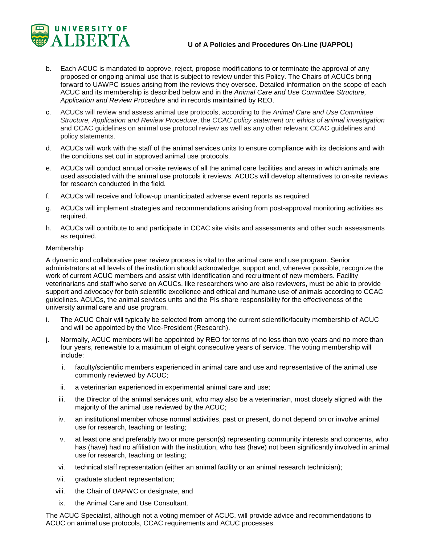

- b. Each ACUC is mandated to approve, reject, propose modifications to or terminate the approval of any proposed or ongoing animal use that is subject to review under this Policy. The Chairs of ACUCs bring forward to UAWPC issues arising from the reviews they oversee. Detailed information on the scope of each ACUC and its membership is described below and in the *Animal Care and Use Committee Structure, Application and Review Procedure* and in records maintained by REO.
- c. ACUCs will review and assess animal use protocols, according to the *Animal Care and Use Committee Structure, Application and Review Procedure*, the *CCAC policy statement on: ethics of animal investigation*  and CCAC guidelines on animal use protocol review as well as any other relevant CCAC guidelines and policy statements.
- d. ACUCs will work with the staff of the animal services units to ensure compliance with its decisions and with the conditions set out in approved animal use protocols.
- e. ACUCs will conduct annual on-site reviews of all the animal care facilities and areas in which animals are used associated with the animal use protocols it reviews. ACUCs will develop alternatives to on-site reviews for research conducted in the field.
- f. ACUCs will receive and follow-up unanticipated adverse event reports as required.
- g. ACUCs will implement strategies and recommendations arising from post-approval monitoring activities as required.
- h. ACUCs will contribute to and participate in CCAC site visits and assessments and other such assessments as required.

#### Membership

A dynamic and collaborative peer review process is vital to the animal care and use program. Senior administrators at all levels of the institution should acknowledge, support and, wherever possible, recognize the work of current ACUC members and assist with identification and recruitment of new members. Facility veterinarians and staff who serve on ACUCs, like researchers who are also reviewers, must be able to provide support and advocacy for both scientific excellence and ethical and humane use of animals according to CCAC guidelines. ACUCs, the animal services units and the PIs share responsibility for the effectiveness of the university animal care and use program.

- i. The ACUC Chair will typically be selected from among the current scientific/faculty membership of ACUC and will be appointed by the Vice-President (Research).
- j. Normally, ACUC members will be appointed by REO for terms of no less than two years and no more than four years, renewable to a maximum of eight consecutive years of service. The voting membership will include:
	- i. faculty/scientific members experienced in animal care and use and representative of the animal use commonly reviewed by ACUC;
	- ii. a veterinarian experienced in experimental animal care and use;
	- iii. the Director of the animal services unit, who may also be a veterinarian, most closely aligned with the majority of the animal use reviewed by the ACUC;
	- iv. an institutional member whose normal activities, past or present, do not depend on or involve animal use for research, teaching or testing;
	- v. at least one and preferably two or more person(s) representing community interests and concerns, who has (have) had no affiliation with the institution, who has (have) not been significantly involved in animal use for research, teaching or testing;
	- vi. technical staff representation (either an animal facility or an animal research technician);
	- vii. graduate student representation;
	- viii. the Chair of UAPWC or designate, and
	- ix. the Animal Care and Use Consultant.

The ACUC Specialist, although not a voting member of ACUC, will provide advice and recommendations to ACUC on animal use protocols, CCAC requirements and ACUC processes.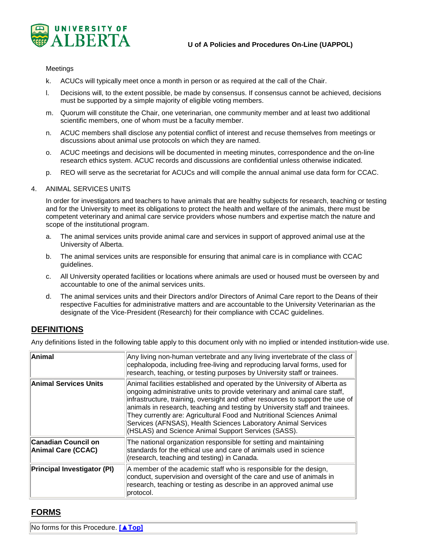

#### Meetings

- k. ACUCs will typically meet once a month in person or as required at the call of the Chair.
- l. Decisions will, to the extent possible, be made by consensus. If consensus cannot be achieved, decisions must be supported by a simple majority of eligible voting members.
- m. Quorum will constitute the Chair, one veterinarian, one community member and at least two additional scientific members, one of whom must be a faculty member.
- n. ACUC members shall disclose any potential conflict of interest and recuse themselves from meetings or discussions about animal use protocols on which they are named.
- o. ACUC meetings and decisions will be documented in meeting minutes, correspondence and the on-line research ethics system. ACUC records and discussions are confidential unless otherwise indicated.
- p. REO will serve as the secretariat for ACUCs and will compile the annual animal use data form for CCAC.

#### 4. ANIMAL SERVICES UNITS

In order for investigators and teachers to have animals that are healthy subjects for research, teaching or testing and for the University to meet its obligations to protect the health and welfare of the animals, there must be competent veterinary and animal care service providers whose numbers and expertise match the nature and scope of the institutional program.

- a. The animal services units provide animal care and services in support of approved animal use at the University of Alberta.
- b. The animal services units are responsible for ensuring that animal care is in compliance with CCAC guidelines.
- c. All University operated facilities or locations where animals are used or housed must be overseen by and accountable to one of the animal services units.
- d. The animal services units and their Directors and/or Directors of Animal Care report to the Deans of their respective Faculties for administrative matters and are accountable to the University Veterinarian as the designate of the Vice-President (Research) for their compliance with CCAC guidelines.

### **DEFINITIONS**

Any definitions listed in the following table apply to this document only with no implied or intended institution-wide use.

| Animal                                                  | Any living non-human vertebrate and any living invertebrate of the class of<br>cephalopoda, including free-living and reproducing larval forms, used for<br>research, teaching, or testing purposes by University staff or trainees.                                                                                                                                                                                                                                                                                     |
|---------------------------------------------------------|--------------------------------------------------------------------------------------------------------------------------------------------------------------------------------------------------------------------------------------------------------------------------------------------------------------------------------------------------------------------------------------------------------------------------------------------------------------------------------------------------------------------------|
| <b>Animal Services Units</b>                            | Animal facilities established and operated by the University of Alberta as<br>ongoing administrative units to provide veterinary and animal care staff,<br>infrastructure, training, oversight and other resources to support the use of<br>animals in research, teaching and testing by University staff and trainees.<br>They currently are: Agricultural Food and Nutritional Sciences Animal<br>Services (AFNSAS), Health Sciences Laboratory Animal Services<br>(HSLAS) and Science Animal Support Services (SASS). |
| <b>Canadian Council on</b><br><b>Animal Care (CCAC)</b> | The national organization responsible for setting and maintaining<br>standards for the ethical use and care of animals used in science<br>(research, teaching and testing) in Canada.                                                                                                                                                                                                                                                                                                                                    |
| <b>Principal Investigator (PI)</b>                      | A member of the academic staff who is responsible for the design,<br>conduct, supervision and oversight of the care and use of animals in<br>research, teaching or testing as describe in an approved animal use<br>protocol.                                                                                                                                                                                                                                                                                            |

## **FORMS**

No forms for this Procedure. **[\[▲Top\]](#page-0-0)**